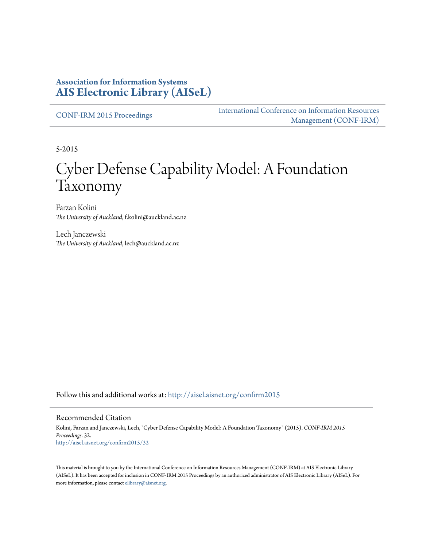# **Association for Information Systems [AIS Electronic Library \(AISeL\)](http://aisel.aisnet.org?utm_source=aisel.aisnet.org%2Fconfirm2015%2F32&utm_medium=PDF&utm_campaign=PDFCoverPages)**

[CONF-IRM 2015 Proceedings](http://aisel.aisnet.org/confirm2015?utm_source=aisel.aisnet.org%2Fconfirm2015%2F32&utm_medium=PDF&utm_campaign=PDFCoverPages)

[International Conference on Information Resources](http://aisel.aisnet.org/conf-irm?utm_source=aisel.aisnet.org%2Fconfirm2015%2F32&utm_medium=PDF&utm_campaign=PDFCoverPages) [Management \(CONF-IRM\)](http://aisel.aisnet.org/conf-irm?utm_source=aisel.aisnet.org%2Fconfirm2015%2F32&utm_medium=PDF&utm_campaign=PDFCoverPages)

5-2015

# Cyber Defense Capability Model: A Foundation Taxonomy

Farzan Kolini *The University of Auckland*, f.kolini@auckland.ac.nz

Lech Janczewski *The University of Auckland*, lech@auckland.ac.nz

Follow this and additional works at: [http://aisel.aisnet.org/confirm2015](http://aisel.aisnet.org/confirm2015?utm_source=aisel.aisnet.org%2Fconfirm2015%2F32&utm_medium=PDF&utm_campaign=PDFCoverPages)

#### Recommended Citation

Kolini, Farzan and Janczewski, Lech, "Cyber Defense Capability Model: A Foundation Taxonomy" (2015). *CONF-IRM 2015 Proceedings*. 32. [http://aisel.aisnet.org/confirm2015/32](http://aisel.aisnet.org/confirm2015/32?utm_source=aisel.aisnet.org%2Fconfirm2015%2F32&utm_medium=PDF&utm_campaign=PDFCoverPages)

This material is brought to you by the International Conference on Information Resources Management (CONF-IRM) at AIS Electronic Library (AISeL). It has been accepted for inclusion in CONF-IRM 2015 Proceedings by an authorized administrator of AIS Electronic Library (AISeL). For more information, please contact [elibrary@aisnet.org.](mailto:elibrary@aisnet.org%3E)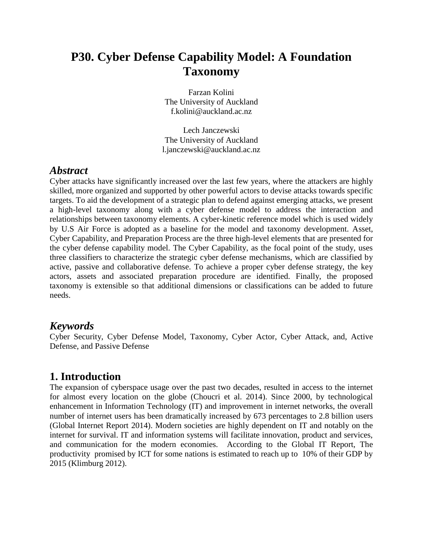# **P30. Cyber Defense Capability Model: A Foundation Taxonomy**

Farzan Kolini The University of Auckland f.kolini@auckland.ac.nz

Lech Janczewski The University of Auckland l.janczewski@auckland.ac.nz

# *Abstract*

Cyber attacks have significantly increased over the last few years, where the attackers are highly skilled, more organized and supported by other powerful actors to devise attacks towards specific targets. To aid the development of a strategic plan to defend against emerging attacks, we present a high-level taxonomy along with a cyber defense model to address the interaction and relationships between taxonomy elements. A cyber-kinetic reference model which is used widely by U.S Air Force is adopted as a baseline for the model and taxonomy development. Asset, Cyber Capability, and Preparation Process are the three high-level elements that are presented for the cyber defense capability model. The Cyber Capability, as the focal point of the study, uses three classifiers to characterize the strategic cyber defense mechanisms, which are classified by active, passive and collaborative defense. To achieve a proper cyber defense strategy, the key actors, assets and associated preparation procedure are identified. Finally, the proposed taxonomy is extensible so that additional dimensions or classifications can be added to future needs.

# *Keywords*

Cyber Security, Cyber Defense Model, Taxonomy, Cyber Actor, Cyber Attack, and, Active Defense, and Passive Defense

# **1. Introduction**

The expansion of cyberspace usage over the past two decades, resulted in access to the internet for almost every location on the globe (Choucri et al. 2014). Since 2000, by technological enhancement in Information Technology (IT) and improvement in internet networks, the overall number of internet users has been dramatically increased by 673 percentages to 2.8 billion users (Global Internet Report 2014). Modern societies are highly dependent on IT and notably on the internet for survival. IT and information systems will facilitate innovation, product and services, and communication for the modern economies. According to the Global IT Report, The productivity promised by ICT for some nations is estimated to reach up to 10% of their GDP by 2015 (Klimburg 2012).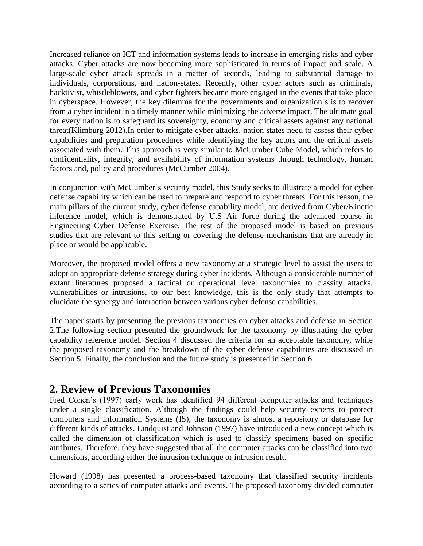Increased reliance on ICT and information systems leads to increase in emerging risks and cyber attacks. Cyber attacks are now becoming more sophisticated in terms of impact and scale. A large-scale cyber attack spreads in a matter of seconds, leading to substantial damage to individuals, corporations, and nation-states. Recently, other cyber actors such as criminals, hacktivist, whistleblowers, and cyber fighters became more engaged in the events that take place in cyberspace. However, the key dilemma for the governments and organization s is to recover from a cyber incident in a timely manner while minimizing the adverse impact. The ultimate goal for every nation is to safeguard its sovereignty, economy and critical assets against any national threat(Klimburg 2012).In order to mitigate cyber attacks, nation states need to assess their cyber capabilities and preparation procedures while identifying the key actors and the critical assets associated with them. This approach is very similar to McCumber Cube Model, which refers to confidentiality, integrity, and availability of information systems through technology, human factors and, policy and procedures (McCumber 2004).

In conjunction with McCumber's security model, this Study seeks to illustrate a model for cyber defense capability which can be used to prepare and respond to cyber threats. For this reason, the main pillars of the current study, cyber defense capability model, are derived from Cyber/Kinetic inference model, which is demonstrated by U.S Air force during the advanced course in Engineering Cyber Defense Exercise. The rest of the proposed model is based on previous studies that are relevant to this setting or covering the defense mechanisms that are already in place or would be applicable.

Moreover, the proposed model offers a new taxonomy at a strategic level to assist the users to adopt an appropriate defense strategy during cyber incidents. Although a considerable number of extant literatures proposed a tactical or operational level taxonomies to classify attacks, vulnerabilities or intrusions, to our best knowledge, this is the only study that attempts to elucidate the synergy and interaction between various cyber defense capabilities.

The paper starts by presenting the previous taxonomies on cyber attacks and defense in Section 2.The following section presented the groundwork for the taxonomy by illustrating the cyber capability reference model. Section 4 discussed the criteria for an acceptable taxonomy, while the proposed taxonomy and the breakdown of the cyber defense capabilities are discussed in Section 5. Finally, the conclusion and the future study is presented in Section 6.

# **2. Review of Previous Taxonomies**

Fred Cohen's (1997) early work has identified 94 different computer attacks and techniques under a single classification. Although the findings could help security experts to protect computers and Information Systems (IS), the taxonomy is almost a repository or database for different kinds of attacks. Lindquist and Johnson (1997) have introduced a new concept which is called the dimension of classification which is used to classify specimens based on specific attributes. Therefore, they have suggested that all the computer attacks can be classified into two dimensions, according either the intrusion technique or intrusion result.

Howard (1998) has presented a process-based taxonomy that classified security incidents according to a series of computer attacks and events. The proposed taxonomy divided computer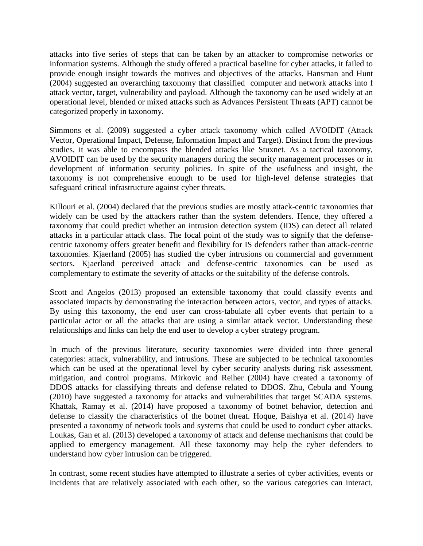attacks into five series of steps that can be taken by an attacker to compromise networks or information systems. Although the study offered a practical baseline for cyber attacks, it failed to provide enough insight towards the motives and objectives of the attacks. Hansman and Hunt (2004) suggested an overarching taxonomy that classified computer and network attacks into f attack vector, target, vulnerability and payload. Although the taxonomy can be used widely at an operational level, blended or mixed attacks such as Advances Persistent Threats (APT) cannot be categorized properly in taxonomy.

Simmons et al. (2009) suggested a cyber attack taxonomy which called AVOIDIT (Attack Vector, Operational Impact, Defense, Information Impact and Target). Distinct from the previous studies, it was able to encompass the blended attacks like Stuxnet. As a tactical taxonomy, AVOIDIT can be used by the security managers during the security management processes or in development of information security policies. In spite of the usefulness and insight, the taxonomy is not comprehensive enough to be used for high-level defense strategies that safeguard critical infrastructure against cyber threats.

Killouri et al. (2004) declared that the previous studies are mostly attack-centric taxonomies that widely can be used by the attackers rather than the system defenders. Hence, they offered a taxonomy that could predict whether an intrusion detection system (IDS) can detect all related attacks in a particular attack class. The focal point of the study was to signify that the defensecentric taxonomy offers greater benefit and flexibility for IS defenders rather than attack-centric taxonomies. Kjaerland (2005) has studied the cyber intrusions on commercial and government sectors. Kjaerland perceived attack and defense-centric taxonomies can be used as complementary to estimate the severity of attacks or the suitability of the defense controls.

Scott and Angelos (2013) proposed an extensible taxonomy that could classify events and associated impacts by demonstrating the interaction between actors, vector, and types of attacks. By using this taxonomy, the end user can cross-tabulate all cyber events that pertain to a particular actor or all the attacks that are using a similar attack vector. Understanding these relationships and links can help the end user to develop a cyber strategy program.

In much of the previous literature, security taxonomies were divided into three general categories: attack, vulnerability, and intrusions. These are subjected to be technical taxonomies which can be used at the operational level by cyber security analysts during risk assessment, mitigation, and control programs. Mirkovic and Reiher (2004) have created a taxonomy of DDOS attacks for classifying threats and defense related to DDOS. Zhu, Cebula and Young (2010) have suggested a taxonomy for attacks and vulnerabilities that target SCADA systems. Khattak, Ramay et al. (2014) have proposed a taxonomy of botnet behavior, detection and defense to classify the characteristics of the botnet threat. Hoque, Baishya et al. (2014) have presented a taxonomy of network tools and systems that could be used to conduct cyber attacks. Loukas, Gan et al. (2013) developed a taxonomy of attack and defense mechanisms that could be applied to emergency management. All these taxonomy may help the cyber defenders to understand how cyber intrusion can be triggered.

In contrast, some recent studies have attempted to illustrate a series of cyber activities, events or incidents that are relatively associated with each other, so the various categories can interact,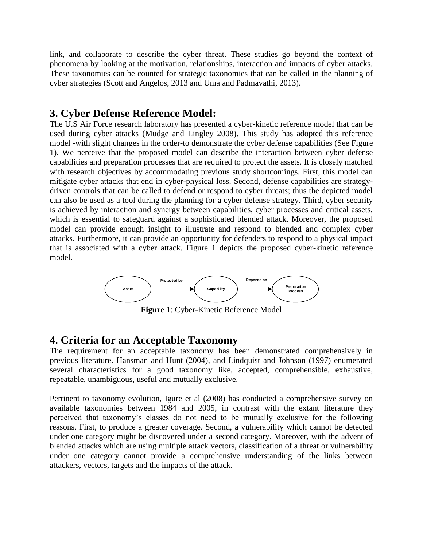link, and collaborate to describe the cyber threat. These studies go beyond the context of phenomena by looking at the motivation, relationships, interaction and impacts of cyber attacks. These taxonomies can be counted for strategic taxonomies that can be called in the planning of cyber strategies (Scott and Angelos, 2013 and Uma and Padmavathi, 2013).

# **3. Cyber Defense Reference Model:**

The U.S Air Force research laboratory has presented a cyber-kinetic reference model that can be used during cyber attacks (Mudge and Lingley 2008). This study has adopted this reference model -with slight changes in the order-to demonstrate the cyber defense capabilities (See Figure 1). We perceive that the proposed model can describe the interaction between cyber defense capabilities and preparation processes that are required to protect the assets. It is closely matched with research objectives by accommodating previous study shortcomings. First, this model can mitigate cyber attacks that end in cyber-physical loss. Second, defense capabilities are strategydriven controls that can be called to defend or respond to cyber threats; thus the depicted model can also be used as a tool during the planning for a cyber defense strategy. Third, cyber security is achieved by interaction and synergy between capabilities, cyber processes and critical assets, which is essential to safeguard against a sophisticated blended attack. Moreover, the proposed model can provide enough insight to illustrate and respond to blended and complex cyber attacks. Furthermore, it can provide an opportunity for defenders to respond to a physical impact that is associated with a cyber attack. Figure 1 depicts the proposed cyber-kinetic reference model.



**Figure 1**: Cyber-Kinetic Reference Model

# **4. Criteria for an Acceptable Taxonomy**

The requirement for an acceptable taxonomy has been demonstrated comprehensively in previous literature. Hansman and Hunt (2004), and Lindquist and Johnson (1997) enumerated several characteristics for a good taxonomy like, accepted, comprehensible, exhaustive, repeatable, unambiguous, useful and mutually exclusive.

Pertinent to taxonomy evolution, Igure et al (2008) has conducted a comprehensive survey on available taxonomies between 1984 and 2005, in contrast with the extant literature they perceived that taxonomy's classes do not need to be mutually exclusive for the following reasons. First, to produce a greater coverage. Second, a vulnerability which cannot be detected under one category might be discovered under a second category. Moreover, with the advent of blended attacks which are using multiple attack vectors, classification of a threat or vulnerability under one category cannot provide a comprehensive understanding of the links between attackers, vectors, targets and the impacts of the attack.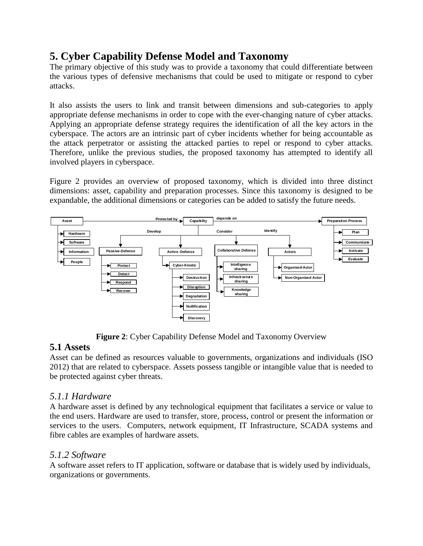# **5. Cyber Capability Defense Model and Taxonomy**

The primary objective of this study was to provide a taxonomy that could differentiate between the various types of defensive mechanisms that could be used to mitigate or respond to cyber attacks.

It also assists the users to link and transit between dimensions and sub-categories to apply appropriate defense mechanisms in order to cope with the ever-changing nature of cyber attacks. Applying an appropriate defense strategy requires the identification of all the key actors in the cyberspace. The actors are an intrinsic part of cyber incidents whether for being accountable as the attack perpetrator or assisting the attacked parties to repel or respond to cyber attacks. Therefore, unlike the previous studies, the proposed taxonomy has attempted to identify all involved players in cyberspace.

Figure 2 provides an overview of proposed taxonomy, which is divided into three distinct dimensions: asset, capability and preparation processes. Since this taxonomy is designed to be expandable, the additional dimensions or categories can be added to satisfy the future needs.



**Figure 2**: Cyber Capability Defense Model and Taxonomy Overview

### **5.1 Assets**

Asset can be defined as resources valuable to governments, organizations and individuals (ISO 2012) that are related to cyberspace. Assets possess tangible or intangible value that is needed to be protected against cyber threats.

### *5.1.1 Hardware*

A hardware asset is defined by any technological equipment that facilitates a service or value to the end users. Hardware are used to transfer, store, process, control or present the information or services to the users. Computers, network equipment, IT Infrastructure, SCADA systems and fibre cables are examples of hardware assets.

### *5.1.2 Software*

A software asset refers to IT application, software or database that is widely used by individuals, organizations or governments.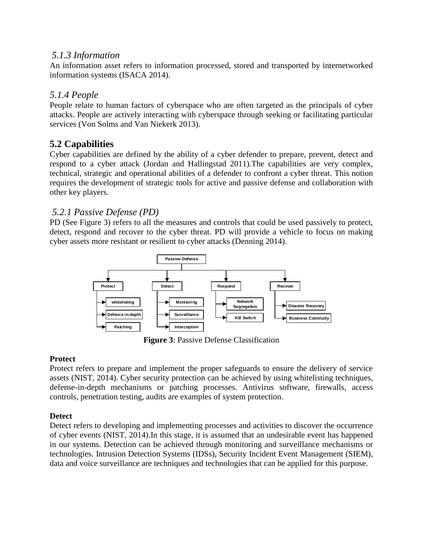#### *5.1.3 Information*

An information asset refers to information processed, stored and transported by internetworked information systems (ISACA 2014).

# *5.1.4 People*

People relate to human factors of cyberspace who are often targeted as the principals of cyber attacks. People are actively interacting with cyberspace through seeking or facilitating particular services (Von Solms and Van Niekerk 2013).

# **5.2 Capabilities**

Cyber capabilities are defined by the ability of a cyber defender to prepare, prevent, detect and respond to a cyber attack (Jordan and Hallingstad 2011).The capabilities are very complex, technical, strategic and operational abilities of a defender to confront a cyber threat. This notion requires the development of strategic tools for active and passive defense and collaboration with other key players.

# *5.2.1 Passive Defense (PD)*

PD (See Figure 3) refers to all the measures and controls that could be used passively to protect, detect, respond and recover to the cyber threat. PD will provide a vehicle to focus on making cyber assets more resistant or resilient to cyber attacks (Denning 2014).



**Figure 3**: Passive Defense Classification

#### **Protect**

Protect refers to prepare and implement the proper safeguards to ensure the delivery of service assets (NIST, 2014). Cyber security protection can be achieved by using whitelisting techniques, defense-in-depth mechanisms or patching processes. Antivirus software, firewalls, access controls, penetration testing, audits are examples of system protection.

#### **Detect**

Detect refers to developing and implementing processes and activities to discover the occurrence of cyber events (NIST, 2014).In this stage, it is assumed that an undesirable event has happened in our systems. Detection can be achieved through monitoring and surveillance mechanisms or technologies. Intrusion Detection Systems (IDSs), Security Incident Event Management (SIEM), data and voice surveillance are techniques and technologies that can be applied for this purpose.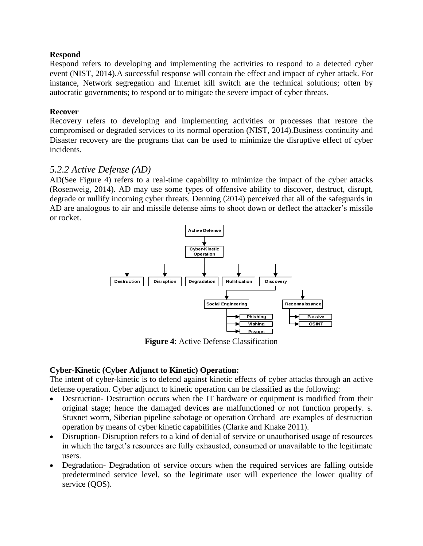#### **Respond**

Respond refers to developing and implementing the activities to respond to a detected cyber event (NIST, 2014).A successful response will contain the effect and impact of cyber attack. For instance, Network segregation and Internet kill switch are the technical solutions; often by autocratic governments; to respond or to mitigate the severe impact of cyber threats.

#### **Recover**

Recovery refers to developing and implementing activities or processes that restore the compromised or degraded services to its normal operation (NIST, 2014).Business continuity and Disaster recovery are the programs that can be used to minimize the disruptive effect of cyber incidents.

#### *5.2.2 Active Defense (AD)*

AD(See Figure 4) refers to a real-time capability to minimize the impact of the cyber attacks (Rosenweig, 2014). AD may use some types of offensive ability to discover, destruct, disrupt, degrade or nullify incoming cyber threats. Denning (2014) perceived that all of the safeguards in AD are analogous to air and missile defense aims to shoot down or deflect the attacker's missile or rocket.



**Figure 4**: Active Defense Classification

#### **Cyber-Kinetic (Cyber Adjunct to Kinetic) Operation:**

The intent of cyber-kinetic is to defend against kinetic effects of cyber attacks through an active defense operation. Cyber adjunct to kinetic operation can be classified as the following:

- Destruction- Destruction occurs when the IT hardware or equipment is modified from their original stage; hence the damaged devices are malfunctioned or not function properly. s. Stuxnet worm, Siberian pipeline sabotage or operation Orchard are examples of destruction operation by means of cyber kinetic capabilities (Clarke and Knake 2011).
- Disruption- Disruption refers to a kind of denial of service or unauthorised usage of resources in which the target's resources are fully exhausted, consumed or unavailable to the legitimate users.
- Degradation- Degradation of service occurs when the required services are falling outside predetermined service level, so the legitimate user will experience the lower quality of service (QOS).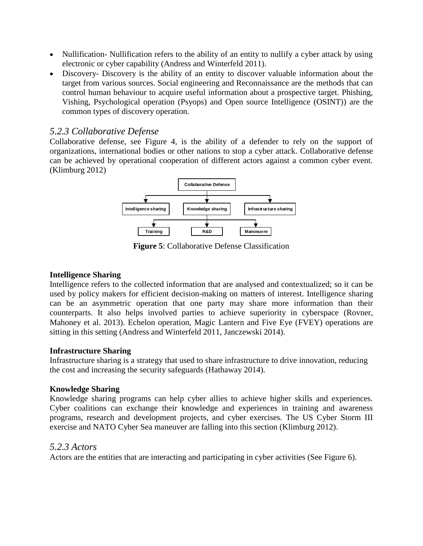- Nullification- Nullification refers to the ability of an entity to nullify a cyber attack by using electronic or cyber capability (Andress and Winterfeld 2011).
- Discovery- Discovery is the ability of an entity to discover valuable information about the target from various sources. Social engineering and Reconnaissance are the methods that can control human behaviour to acquire useful information about a prospective target. Phishing, Vishing, Psychological operation (Psyops) and Open source Intelligence (OSINT)) are the common types of discovery operation.

# *5.2.3 Collaborative Defense*

Collaborative defense, see Figure 4, is the ability of a defender to rely on the support of organizations, international bodies or other nations to stop a cyber attack. Collaborative defense can be achieved by operational cooperation of different actors against a common cyber event. (Klimburg 2012)



**Figure 5**: Collaborative Defense Classification

#### **Intelligence Sharing**

Intelligence refers to the collected information that are analysed and contextualized; so it can be used by policy makers for efficient decision-making on matters of interest. Intelligence sharing can be an asymmetric operation that one party may share more information than their counterparts. It also helps involved parties to achieve superiority in cyberspace (Rovner, Mahoney et al. 2013). Echelon operation, Magic Lantern and Five Eye (FVEY) operations are sitting in this setting (Andress and Winterfeld 2011, Janczewski 2014).

#### **Infrastructure Sharing**

Infrastructure sharing is a strategy that used to share infrastructure to drive innovation, reducing the cost and increasing the security safeguards (Hathaway 2014).

#### **Knowledge Sharing**

Knowledge sharing programs can help cyber allies to achieve higher skills and experiences. Cyber coalitions can exchange their knowledge and experiences in training and awareness programs, research and development projects, and cyber exercises. The US Cyber Storm III exercise and NATO Cyber Sea maneuver are falling into this section (Klimburg 2012).

#### *5.2.3 Actors*

Actors are the entities that are interacting and participating in cyber activities (See Figure 6).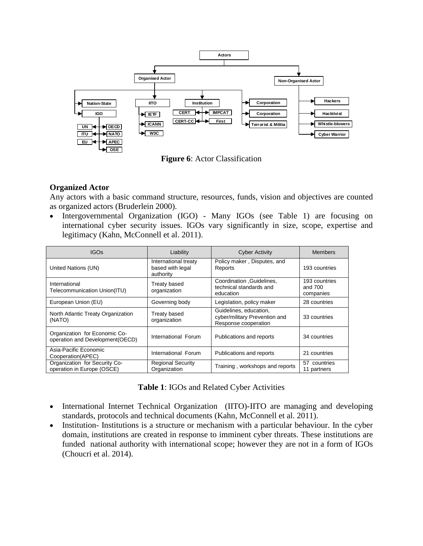

**Figure 6**: Actor Classification

#### **Organized Actor**

Any actors with a basic command structure, resources, funds, vision and objectives are counted as organized actors (Bruderlein 2000).

• Intergovernmental Organization (IGO) - Many IGOs (see Table 1) are focusing on international cyber security issues. IGOs vary significantly in size, scope, expertise and legitimacy (Kahn, McConnell et al. 2011).

| <b>IGOs</b>                                                       | Liability                                             | <b>Cyber Activity</b>                                                           | <b>Members</b>                        |
|-------------------------------------------------------------------|-------------------------------------------------------|---------------------------------------------------------------------------------|---------------------------------------|
| United Nations (UN)                                               | International treaty<br>based with legal<br>authority | Policy maker, Disputes, and<br>Reports                                          | 193 countries                         |
| International<br>Telecommunication Union(ITU)                     | Treaty based<br>organization                          | Coordination , Guidelines,<br>technical standards and<br>education              | 193 countries<br>and 700<br>companies |
| European Union (EU)                                               | Governing body                                        | Legislation, policy maker                                                       | 28 countries                          |
| North Atlantic Treaty Organization<br>(NATO)                      | Treaty based<br>organization                          | Guidelines, education,<br>cyber/military Prevention and<br>Response cooperation | 33 countries                          |
| Organization for Economic Co-<br>operation and Development (OECD) | International Forum                                   | Publications and reports                                                        | 34 countries                          |
| Asia-Pacific Economic<br>Cooperation(APEC)                        | International Forum                                   | Publications and reports                                                        | 21 countries                          |
| Organization for Security Co-<br>operation in Europe (OSCE)       | <b>Regional Security</b><br>Organization              | Training, workshops and reports                                                 | 57 countries<br>11 partners           |

| <b>Table 1: IGOs and Related Cyber Activities</b> |  |
|---------------------------------------------------|--|
|---------------------------------------------------|--|

- International Internet Technical Organization (IITO)-IITO are managing and developing standards, protocols and technical documents (Kahn, McConnell et al. 2011).
- Institution- Institutions is a structure or mechanism with a particular behaviour. In the cyber domain, institutions are created in response to imminent cyber threats. These institutions are funded national authority with international scope; however they are not in a form of IGOs (Choucri et al. 2014).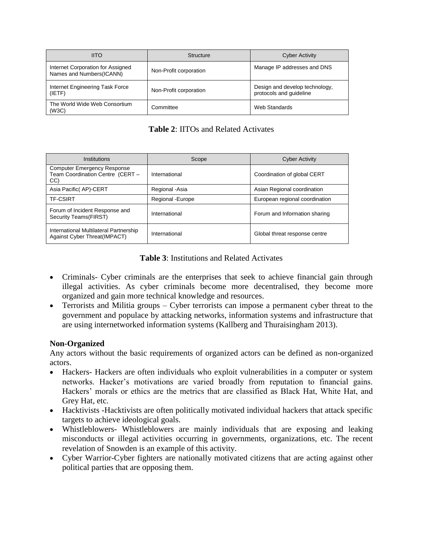| <b>IITO</b>                                                    | Structure              | <b>Cyber Activity</b>                                     |
|----------------------------------------------------------------|------------------------|-----------------------------------------------------------|
| Internet Corporation for Assigned<br>Names and Numbers (ICANN) | Non-Profit corporation | Manage IP addresses and DNS                               |
| Internet Engineering Task Force<br>(IETF)                      | Non-Profit corporation | Design and develop technology,<br>protocols and guideline |
| The World Wide Web Consortium<br>(W3C)                         | Committee              | Web Standards                                             |

| <b>Table 2: IITOs and Related Activates</b> |  |
|---------------------------------------------|--|
|---------------------------------------------|--|

| Institutions                                                                  | Scope             | <b>Cyber Activity</b>          |
|-------------------------------------------------------------------------------|-------------------|--------------------------------|
| <b>Computer Emergency Response</b><br>Team Coordination Centre (CERT -<br>CC) | International     | Coordination of global CERT    |
| Asia Pacific (AP)-CERT                                                        | Regional - Asia   | Asian Regional coordination    |
| <b>TF-CSIRT</b>                                                               | Regional - Europe | European regional coordination |
| Forum of Incident Response and<br>Security Teams(FIRST)                       | International     | Forum and Information sharing  |
| International Multilateral Partnership<br>Against Cyber Threat(IMPACT)        | International     | Global threat response centre  |

**Table 3**: Institutions and Related Activates

- Criminals- Cyber criminals are the enterprises that seek to achieve financial gain through illegal activities. As cyber criminals become more decentralised, they become more organized and gain more technical knowledge and resources.
- Terrorists and Militia groups Cyber terrorists can impose a permanent cyber threat to the government and populace by attacking networks, information systems and infrastructure that are using internetworked information systems (Kallberg and Thuraisingham 2013).

#### **Non-Organized**

Any actors without the basic requirements of organized actors can be defined as non-organized actors.

- Hackers- Hackers are often individuals who exploit vulnerabilities in a computer or system networks. Hacker's motivations are varied broadly from reputation to financial gains. Hackers' morals or ethics are the metrics that are classified as Black Hat, White Hat, and Grey Hat, etc.
- Hacktivists -Hacktivists are often politically motivated individual hackers that attack specific targets to achieve ideological goals.
- Whistleblowers- Whistleblowers are mainly individuals that are exposing and leaking misconducts or illegal activities occurring in governments, organizations, etc. The recent revelation of Snowden is an example of this activity.
- Cyber Warrior-Cyber fighters are nationally motivated citizens that are acting against other political parties that are opposing them.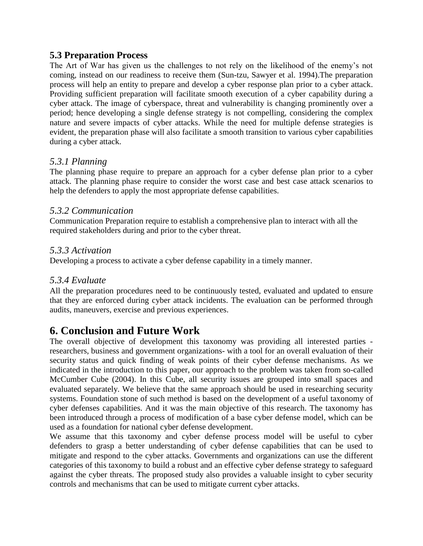# **5.3 Preparation Process**

The Art of War has given us the challenges to not rely on the likelihood of the enemy's not coming, instead on our readiness to receive them (Sun-tzu, Sawyer et al. 1994).The preparation process will help an entity to prepare and develop a cyber response plan prior to a cyber attack. Providing sufficient preparation will facilitate smooth execution of a cyber capability during a cyber attack. The image of cyberspace, threat and vulnerability is changing prominently over a period; hence developing a single defense strategy is not compelling, considering the complex nature and severe impacts of cyber attacks. While the need for multiple defense strategies is evident, the preparation phase will also facilitate a smooth transition to various cyber capabilities during a cyber attack.

# *5.3.1 Planning*

The planning phase require to prepare an approach for a cyber defense plan prior to a cyber attack. The planning phase require to consider the worst case and best case attack scenarios to help the defenders to apply the most appropriate defense capabilities.

### *5.3.2 Communication*

Communication Preparation require to establish a comprehensive plan to interact with all the required stakeholders during and prior to the cyber threat.

### *5.3.3 Activation*

Developing a process to activate a cyber defense capability in a timely manner.

### *5.3.4 Evaluate*

All the preparation procedures need to be continuously tested, evaluated and updated to ensure that they are enforced during cyber attack incidents. The evaluation can be performed through audits, maneuvers, exercise and previous experiences.

# **6. Conclusion and Future Work**

The overall objective of development this taxonomy was providing all interested parties researchers, business and government organizations- with a tool for an overall evaluation of their security status and quick finding of weak points of their cyber defense mechanisms. As we indicated in the introduction to this paper, our approach to the problem was taken from so-called McCumber Cube (2004). In this Cube, all security issues are grouped into small spaces and evaluated separately. We believe that the same approach should be used in researching security systems. Foundation stone of such method is based on the development of a useful taxonomy of cyber defenses capabilities. And it was the main objective of this research. The taxonomy has been introduced through a process of modification of a base cyber defense model, which can be used as a foundation for national cyber defense development.

We assume that this taxonomy and cyber defense process model will be useful to cyber defenders to grasp a better understanding of cyber defense capabilities that can be used to mitigate and respond to the cyber attacks. Governments and organizations can use the different categories of this taxonomy to build a robust and an effective cyber defense strategy to safeguard against the cyber threats. The proposed study also provides a valuable insight to cyber security controls and mechanisms that can be used to mitigate current cyber attacks.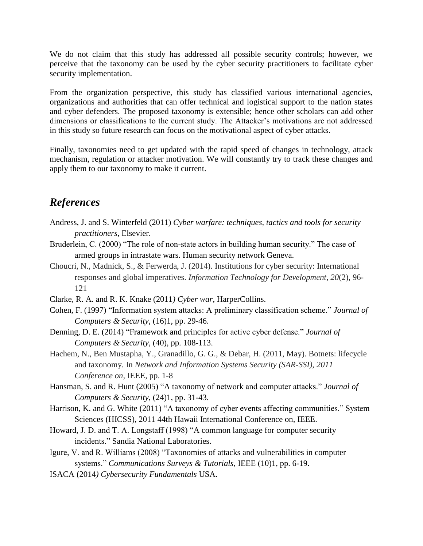We do not claim that this study has addressed all possible security controls; however, we perceive that the taxonomy can be used by the cyber security practitioners to facilitate cyber security implementation.

From the organization perspective, this study has classified various international agencies, organizations and authorities that can offer technical and logistical support to the nation states and cyber defenders. The proposed taxonomy is extensible; hence other scholars can add other dimensions or classifications to the current study. The Attacker's motivations are not addressed in this study so future research can focus on the motivational aspect of cyber attacks.

Finally, taxonomies need to get updated with the rapid speed of changes in technology, attack mechanism, regulation or attacker motivation. We will constantly try to track these changes and apply them to our taxonomy to make it current.

# *References*

- Andress, J. and S. Winterfeld (2011) *Cyber warfare: techniques, tactics and tools for security practitioners*, Elsevier.
- Bruderlein, C. (2000) "The role of non-state actors in building human security." The case of armed groups in intrastate wars. Human security network Geneva.
- Choucri, N., Madnick, S., & Ferwerda, J. (2014). Institutions for cyber security: International responses and global imperatives. *Information Technology for Development*, *20*(2), 96- 121
- Clarke, R. A. and R. K. Knake (2011*) Cyber war*, HarperCollins.
- Cohen, F. (1997) "Information system attacks: A preliminary classification scheme." *Journal of Computers & Security*, (16)1, pp. 29-46.
- Denning, D. E. (2014) "Framework and principles for active cyber defense." *Journal of Computers & Security*, (40), pp. 108-113.
- Hachem, N., Ben Mustapha, Y., Granadillo, G. G., & Debar, H. (2011, May). Botnets: lifecycle and taxonomy. In *Network and Information Systems Security (SAR-SSI), 2011 Conference on,* IEEE*,* pp. 1-8
- Hansman, S. and R. Hunt (2005) "A taxonomy of network and computer attacks." *Journal of Computers & Security*, (24)1, pp. 31-43.
- Harrison, K. and G. White (2011) "A taxonomy of cyber events affecting communities." System Sciences (HICSS), 2011 44th Hawaii International Conference on, IEEE.
- Howard, J. D. and T. A. Longstaff (1998) "A common language for computer security incidents." Sandia National Laboratories.
- Igure, V. and R. Williams (2008) "Taxonomies of attacks and vulnerabilities in computer systems." *Communications Surveys & Tutorials*, IEEE (10)1, pp. 6-19.
- ISACA (2014*) Cybersecurity Fundamentals* USA.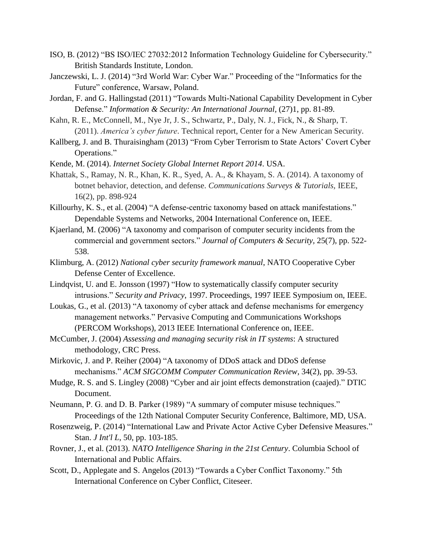- ISO, B. (2012) "BS ISO/IEC 27032:2012 Information Technology Guideline for Cybersecurity." British Standards Institute, London.
- Janczewski, L. J. (2014) "3rd World War: Cyber War." Proceeding of the "Informatics for the Future" conference, Warsaw, Poland.
- Jordan, F. and G. Hallingstad (2011) "Towards Multi-National Capability Development in Cyber Defense." *Information & Security: An International Journal,* (27)1, pp. 81-89.
- Kahn, R. E., McConnell, M., Nye Jr, J. S., Schwartz, P., Daly, N. J., Fick, N., & Sharp, T. (2011). *America's cyber future*. Technical report, Center for a New American Security.
- Kallberg, J. and B. Thuraisingham (2013) "From Cyber Terrorism to State Actors' Covert Cyber Operations."
- Kende, M. (2014). *Internet Society Global Internet Report 2014*. USA.
- Khattak, S., Ramay, N. R., Khan, K. R., Syed, A. A., & Khayam, S. A. (2014). A taxonomy of botnet behavior, detection, and defense. *Communications Surveys & Tutorials,* IEEE, 16(2), pp. 898-924
- Killourhy, K. S., et al. (2004) "A defense-centric taxonomy based on attack manifestations." Dependable Systems and Networks, 2004 International Conference on, IEEE.
- Kjaerland, M. (2006) "A taxonomy and comparison of computer security incidents from the commercial and government sectors." *Journal of Computers & Security,* 25(7), pp. 522- 538.
- Klimburg, A. (2012) *National cyber security framework manual*, NATO Cooperative Cyber Defense Center of Excellence.
- Lindqvist, U. and E. Jonsson (1997) "How to systematically classify computer security intrusions." *Security and Privacy*, 1997. Proceedings, 1997 IEEE Symposium on, IEEE.
- Loukas, G., et al. (2013) "A taxonomy of cyber attack and defense mechanisms for emergency management networks." Pervasive Computing and Communications Workshops (PERCOM Workshops), 2013 IEEE International Conference on, IEEE.
- McCumber, J. (2004) *Assessing and managing security risk in IT systems*: A structured methodology, CRC Press.
- Mirkovic, J. and P. Reiher (2004) "A taxonomy of DDoS attack and DDoS defense mechanisms." *ACM SIGCOMM Computer Communication Review,* 34(2), pp. 39-53.
- Mudge, R. S. and S. Lingley (2008) "Cyber and air joint effects demonstration (caajed)." DTIC Document.
- Neumann, P. G. and D. B. Parker (1989) "A summary of computer misuse techniques." Proceedings of the 12th National Computer Security Conference, Baltimore, MD, USA.
- Rosenzweig, P. (2014) "International Law and Private Actor Active Cyber Defensive Measures." Stan. *J Int'l L*, 50, pp. 103-185.
- Rovner, J., et al. (2013). *NATO Intelligence Sharing in the 21st Century*. Columbia School of International and Public Affairs.
- Scott, D., Applegate and S. Angelos (2013) "Towards a Cyber Conflict Taxonomy." 5th International Conference on Cyber Conflict, Citeseer.